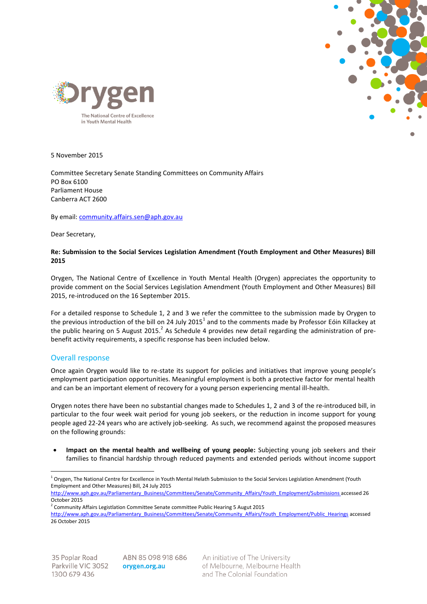



5 November 2015

Committee Secretary Senate Standing Committees on Community Affairs PO Box 6100 Parliament House Canberra ACT 2600

By email[: community.affairs.sen@aph.gov.au](mailto:community.affairs.sen@aph.gov.au)

Dear Secretary,

## **Re: Submission to the Social Services Legislation Amendment (Youth Employment and Other Measures) Bill 2015**

Orygen, The National Centre of Excellence in Youth Mental Health (Orygen) appreciates the opportunity to provide comment on the Social Services Legislation Amendment (Youth Employment and Other Measures) Bill 2015, re-introduced on the 16 September 2015.

For a detailed response to Schedule 1, 2 and 3 we refer the committee to the submission made by Orygen to the previous introduction of the bill on 24 July 2015<sup>1</sup> and to the comments made by Professor Eóin Killackey at the public hearing on 5 August 2015.<sup>2</sup> As Schedule 4 provides new detail regarding the administration of prebenefit activity requirements, a specific response has been included below.

## Overall response

Once again Orygen would like to re-state its support for policies and initiatives that improve young people's employment participation opportunities. Meaningful employment is both a protective factor for mental health and can be an important element of recovery for a young person experiencing mental ill-health.

Orygen notes there have been no substantial changes made to Schedules 1, 2 and 3 of the re-introduced bill, in particular to the four week wait period for young job seekers, or the reduction in income support for young people aged 22-24 years who are actively job-seeking. As such, we recommend against the proposed measures on the following grounds:

 **Impact on the mental health and wellbeing of young people:** Subjecting young job seekers and their families to financial hardship through reduced payments and extended periods without income support

http://www.aph.gov.au/Parliamentary\_Business/Committees/Senate/Community\_Affairs/Youth\_Employment/Submissions accessed 26 [October 2015](http://www.aph.gov.au/Parliamentary_Business/Committees/Senate/Community_Affairs/Youth_Employment/Submissions%20accessed%2026%20October%202015)

 $\overline{a}$ 

ABN 85 098 918 686 orygen.org.au

An initiative of The University of Melbourne, Melbourne Health and The Colonial Foundation

<sup>&</sup>lt;sup>1</sup> Orygen, The National Centre for Excellence in Youth Mental Helath Submission to the Social Services Legislation Amendment (Youth Employment and Other Measures) Bill, 24 July 2015

 $2$  Community Affairs Legistlation Committee Senate committee Public Hearing 5 Augut 2015

[http://www.aph.gov.au/Parliamentary\\_Business/Committees/Senate/Community\\_Affairs/Youth\\_Employment/Public\\_Hearings](http://www.aph.gov.au/Parliamentary_Business/Committees/Senate/Community_Affairs/Youth_Employment/Public_Hearings) accessed 26 October 2015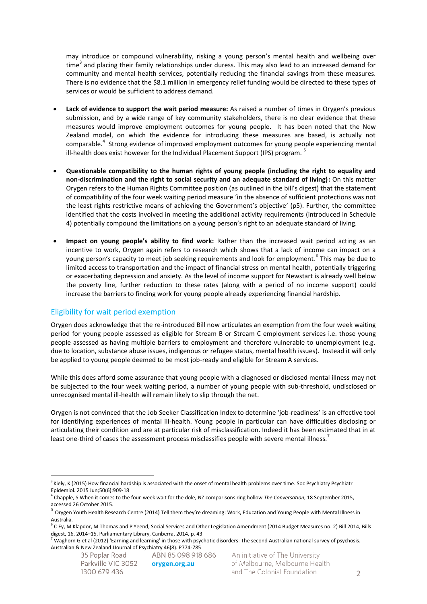may introduce or compound vulnerability, risking a young person's mental health and wellbeing over time<sup>3</sup> and placing their family relationships under duress. This may also lead to an increased demand for community and mental health services, potentially reducing the financial savings from these measures. There is no evidence that the \$8.1 million in emergency relief funding would be directed to these types of services or would be sufficient to address demand.

- **Lack of evidence to support the wait period measure:** As raised a number of times in Orygen's previous submission, and by a wide range of key community stakeholders, there is no clear evidence that these measures would improve employment outcomes for young people. It has been noted that the New Zealand model, on which the evidence for introducing these measures are based, is actually not comparable.<sup>4</sup> Strong evidence of improved employment outcomes for young people experiencing mental ill-health does exist however for the Individual Placement Support (IPS) program.  $5$
- **Questionable compatibility to the human rights of young people (including the right to equality and non-discrimination and the right to social security and an adequate standard of living):** On this matter Orygen refers to the Human Rights Committee position (as outlined in the bill's digest) that the statement of compatibility of the four week waiting period measure 'in the absence of sufficient protections was not the least rights restrictive means of achieving the Government's objective' (p5). Further, the committee identified that the costs involved in meeting the additional activity requirements (introduced in Schedule 4) potentially compound the limitations on a young person's right to an adequate standard of living.
- **Impact on young people's ability to find work:** Rather than the increased wait period acting as an incentive to work, Orygen again refers to research which shows that a lack of income can impact on a young person's capacity to meet job seeking requirements and look for employment.<sup>6</sup> This may be due to limited access to transportation and the impact of financial stress on mental health, potentially triggering or exacerbating depression and anxiety. As the level of income support for Newstart is already well below the poverty line, further reduction to these rates (along with a period of no income support) could increase the barriers to finding work for young people already experiencing financial hardship.

## Eligibility for wait period exemption

Orygen does acknowledge that the re-introduced Bill now articulates an exemption from the four week waiting period for young people assessed as eligible for Stream B or Stream C employment services i.e. those young people assessed as having multiple barriers to employment and therefore vulnerable to unemployment (e.g. due to location, substance abuse issues, indigenous or refugee status, mental health issues). Instead it will only be applied to young people deemed to be most job-ready and eligible for Stream A services.

While this does afford some assurance that young people with a diagnosed or disclosed mental illness may not be subjected to the four week waiting period, a number of young people with sub-threshold, undisclosed or unrecognised mental ill-health will remain likely to slip through the net.

Orygen is not convinced that the Job Seeker Classification Index to determine 'job-readiness' is an effective tool for identifying experiences of mental ill-health. Young people in particular can have difficulties disclosing or articulating their condition and are at particular risk of misclassification. Indeed it has been estimated that in at least one-third of cases the assessment process misclassifies people with severe mental illness.<sup>7</sup>

orygen.org.au

 $\overline{a}$ <sup>3</sup> Kiely, K (2015) How financial hardship is associated with the onset of mental health problems over time. Soc Psychiatry Psychiatr [Epidemiol.](http://www.ncbi.nlm.nih.gov/pubmed/25683473) 2015 Jun;50(6):909-18

<sup>4</sup> Chapple, S When it comes to the four-week wait for the dole, NZ comparisons ring hollow *The Conversation*, 18 September 2015,

accessed 26 October 2015.<br><sup>5</sup> Orygen Youth Health Research Centre (2014) Tell them they're dreaming: Work, Education and Young People with Mental Illness in Australia.

<sup>&</sup>lt;sup>6</sup> C Ey, M Klapdor, M Thomas and P Yeend, Social Services and Other Legislation Amendment (2014 Budget Measures no. 2) Bill 2014, Bills digest, 16, 2014–15, Parliamentary Library, Canberra, 2014, p. 43

 $^7$  Waghorn G et al (2012) 'Earning and learning' in those with psychotic disorders: The second Australian national survey of psychosis. Australian & New Zealand JJournal of Psychiatry 46(8). P774-785